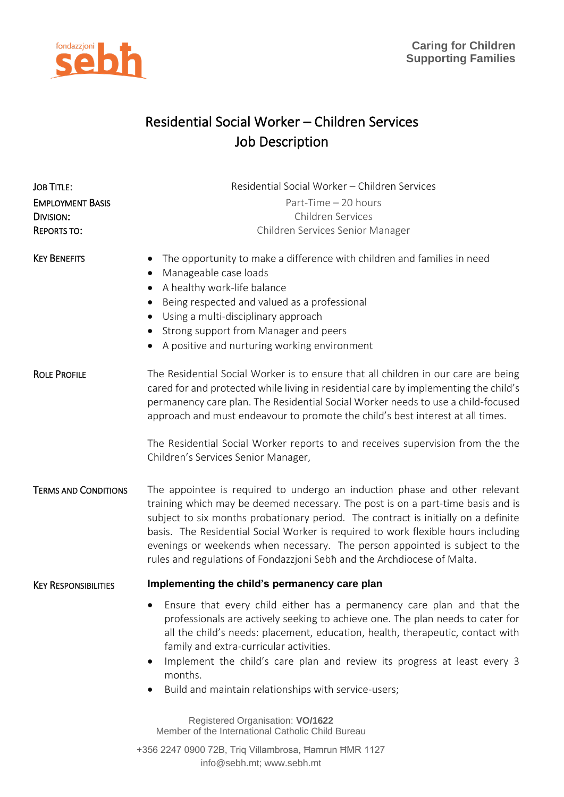

# Residential Social Worker – Children Services Job Description

| <b>JOB TITLE:</b>           | Residential Social Worker - Children Services                                                                                                                                                                                                                                                                                                                                                                                                                                                      |
|-----------------------------|----------------------------------------------------------------------------------------------------------------------------------------------------------------------------------------------------------------------------------------------------------------------------------------------------------------------------------------------------------------------------------------------------------------------------------------------------------------------------------------------------|
| <b>EMPLOYMENT BASIS</b>     | Part-Time - 20 hours                                                                                                                                                                                                                                                                                                                                                                                                                                                                               |
| <b>DIVISION:</b>            | Children Services                                                                                                                                                                                                                                                                                                                                                                                                                                                                                  |
| <b>REPORTS TO:</b>          | Children Services Senior Manager                                                                                                                                                                                                                                                                                                                                                                                                                                                                   |
| <b>KEY BENEFITS</b>         | The opportunity to make a difference with children and families in need<br>Manageable case loads<br>$\bullet$<br>A healthy work-life balance<br>$\bullet$<br>Being respected and valued as a professional<br>$\bullet$<br>Using a multi-disciplinary approach<br>$\bullet$<br>Strong support from Manager and peers<br>A positive and nurturing working environment                                                                                                                                |
| <b>ROLE PROFILE</b>         | The Residential Social Worker is to ensure that all children in our care are being<br>cared for and protected while living in residential care by implementing the child's<br>permanency care plan. The Residential Social Worker needs to use a child-focused<br>approach and must endeavour to promote the child's best interest at all times.                                                                                                                                                   |
|                             | The Residential Social Worker reports to and receives supervision from the the<br>Children's Services Senior Manager,                                                                                                                                                                                                                                                                                                                                                                              |
| <b>TERMS AND CONDITIONS</b> | The appointee is required to undergo an induction phase and other relevant<br>training which may be deemed necessary. The post is on a part-time basis and is<br>subject to six months probationary period. The contract is initially on a definite<br>basis. The Residential Social Worker is required to work flexible hours including<br>evenings or weekends when necessary. The person appointed is subject to the<br>rules and regulations of Fondazzjoni Sebh and the Archdiocese of Malta. |
| <b>KEY RESPONSIBILITIES</b> | Implementing the child's permanency care plan                                                                                                                                                                                                                                                                                                                                                                                                                                                      |
|                             | Ensure that every child either has a permanency care plan and that the<br>professionals are actively seeking to achieve one. The plan needs to cater for<br>all the child's needs: placement, education, health, therapeutic, contact with<br>family and extra-curricular activities.<br>Implement the child's care plan and review its progress at least every 3<br>$\bullet$<br>months.<br>Build and maintain relationships with service-users;<br>$\bullet$                                     |
|                             | Registered Organisation: VO/1622                                                                                                                                                                                                                                                                                                                                                                                                                                                                   |
|                             | Member of the International Catholic Child Bureau                                                                                                                                                                                                                                                                                                                                                                                                                                                  |
|                             | +356 2247 0900 72B, Triq Villambrosa, Hamrun HMR 1127                                                                                                                                                                                                                                                                                                                                                                                                                                              |

info@sebh.mt; www.sebh.mt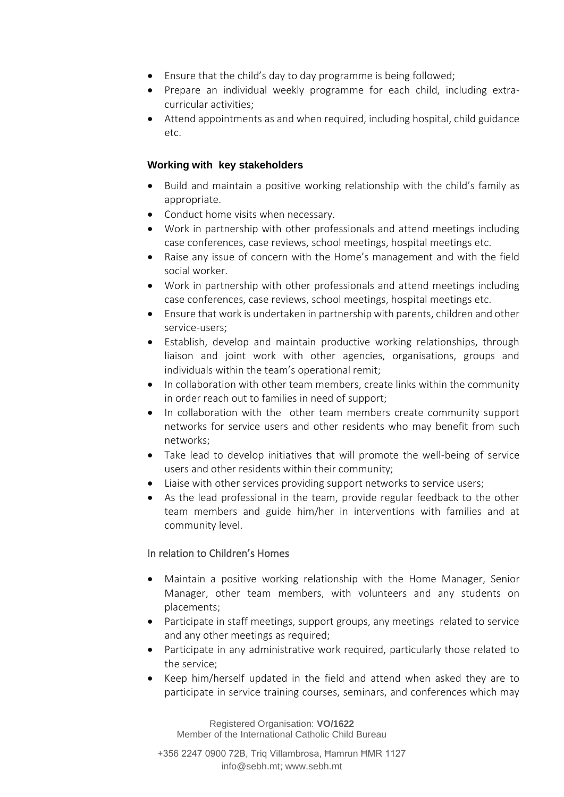- Ensure that the child's day to day programme is being followed;
- Prepare an individual weekly programme for each child, including extracurricular activities;
- Attend appointments as and when required, including hospital, child guidance etc.

## **Working with key stakeholders**

- Build and maintain a positive working relationship with the child's family as appropriate.
- Conduct home visits when necessary.
- Work in partnership with other professionals and attend meetings including case conferences, case reviews, school meetings, hospital meetings etc.
- Raise any issue of concern with the Home's management and with the field social worker.
- Work in partnership with other professionals and attend meetings including case conferences, case reviews, school meetings, hospital meetings etc.
- Ensure that work is undertaken in partnership with parents, children and other service-users;
- Establish, develop and maintain productive working relationships, through liaison and joint work with other agencies, organisations, groups and individuals within the team's operational remit;
- In collaboration with other team members, create links within the community in order reach out to families in need of support;
- In collaboration with the other team members create community support networks for service users and other residents who may benefit from such networks;
- Take lead to develop initiatives that will promote the well-being of service users and other residents within their community;
- Liaise with other services providing support networks to service users;
- As the lead professional in the team, provide regular feedback to the other team members and guide him/her in interventions with families and at community level.

### In relation to Children's Homes

- Maintain a positive working relationship with the Home Manager, Senior Manager, other team members, with volunteers and any students on placements;
- Participate in staff meetings, support groups, any meetings related to service and any other meetings as required;
- Participate in any administrative work required, particularly those related to the service;
- Keep him/herself updated in the field and attend when asked they are to participate in service training courses, seminars, and conferences which may

Registered Organisation: **VO/1622** Member of the International Catholic Child Bureau

+356 2247 0900 72B, Triq Villambrosa, Ħamrun ĦMR 1127 info@sebh.mt; www.sebh.mt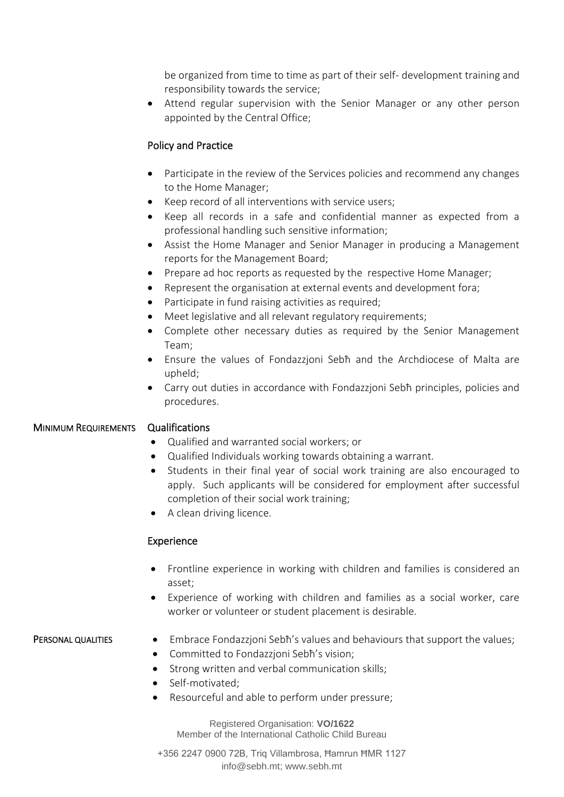be organized from time to time as part of their self- development training and responsibility towards the service;

• Attend regular supervision with the Senior Manager or any other person appointed by the Central Office;

# Policy and Practice

- Participate in the review of the Services policies and recommend any changes to the Home Manager;
- Keep record of all interventions with service users;
- Keep all records in a safe and confidential manner as expected from a professional handling such sensitive information;
- Assist the Home Manager and Senior Manager in producing a Management reports for the Management Board;
- Prepare ad hoc reports as requested by the respective Home Manager;
- Represent the organisation at external events and development fora;
- Participate in fund raising activities as required;
- Meet legislative and all relevant regulatory requirements;
- Complete other necessary duties as required by the Senior Management Team;
- Ensure the values of Fondazzjoni Sebħ and the Archdiocese of Malta are upheld;
- Carry out duties in accordance with Fondazzjoni Sebħ principles, policies and procedures.

#### MINIMUM REQUIREMENTS Qualifications

- Qualified and warranted social workers; or
- Qualified Individuals working towards obtaining a warrant.
- Students in their final year of social work training are also encouraged to apply. Such applicants will be considered for employment after successful completion of their social work training;
- A clean driving licence.

### Experience

- Frontline experience in working with children and families is considered an asset;
- Experience of working with children and families as a social worker, care worker or volunteer or student placement is desirable.

### PERSONAL QUALITIES

- Embrace Fondazzioni Sebħ's values and behaviours that support the values:
- Committed to Fondazzjoni Sebħ's vision;
- Strong written and verbal communication skills;
- Self-motivated;
- Resourceful and able to perform under pressure;

Registered Organisation: **VO/1622** Member of the International Catholic Child Bureau

+356 2247 0900 72B, Triq Villambrosa, Ħamrun ĦMR 1127 info@sebh.mt; www.sebh.mt